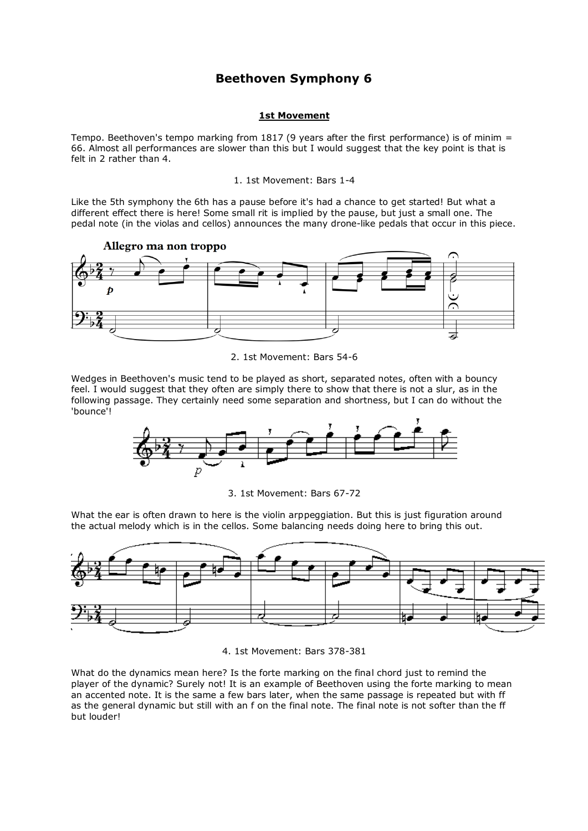# **Beethoven Symphony 6**

# **1st Movement**

Tempo. Beethoven's tempo marking from 1817 (9 years after the first performance) is of minim = 66. Almost all performances are slower than this but I would suggest that the key point is that is felt in 2 rather than 4.

1. 1st Movement: Bars 1-4

Like the 5th symphony the 6th has a pause before it's had a chance to get started! But what a different effect there is here! Some small rit is implied by the pause, but just a small one. The pedal note (in the violas and cellos) announces the many drone-like pedals that occur in this piece.



2. 1st Movement: Bars 54-6

Wedges in Beethoven's music tend to be played as short, separated notes, often with a bouncy feel. I would suggest that they often are simply there to show that there is not a slur, as in the following passage. They certainly need some separation and shortness, but I can do without the 'bounce'!



3. 1st Movement: Bars 67-72

What the ear is often drawn to here is the violin arppeggiation. But this is just figuration around the actual melody which is in the cellos. Some balancing needs doing here to bring this out.



4. 1st Movement: Bars 378-381

What do the dynamics mean here? Is the forte marking on the final chord just to remind the player of the dynamic? Surely not! It is an example of Beethoven using the forte marking to mean an accented note. It is the same a few bars later, when the same passage is repeated but with ff as the general dynamic but still with an f on the final note. The final note is not softer than the ff but louder!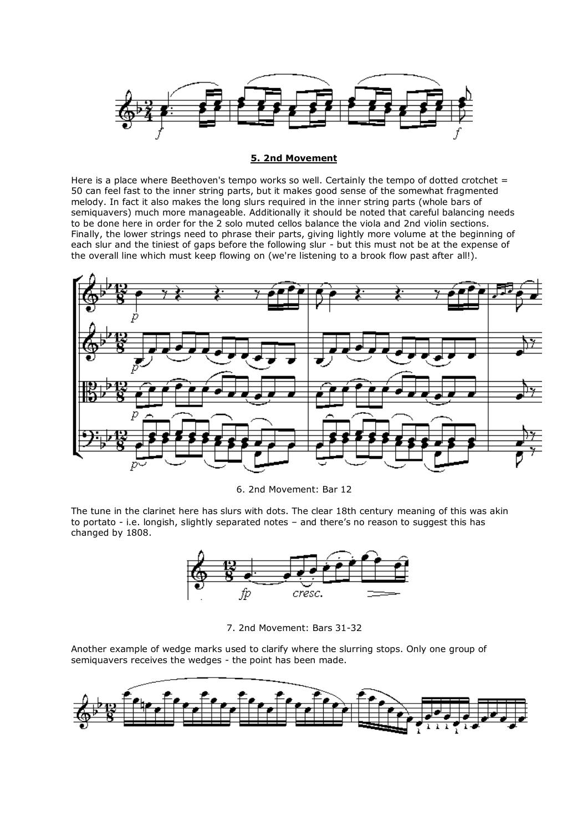

# **5. 2nd Movement**

Here is a place where Beethoven's tempo works so well. Certainly the tempo of dotted crotchet  $=$ 50 can feel fast to the inner string parts, but it makes good sense of the somewhat fragmented melody. In fact it also makes the long slurs required in the inner string parts (whole bars of semiquavers) much more manageable. Additionally it should be noted that careful balancing needs to be done here in order for the 2 solo muted cellos balance the viola and 2nd violin sections. Finally, the lower strings need to phrase their parts, giving lightly more volume at the beginning of each slur and the tiniest of gaps before the following slur - but this must not be at the expense of the overall line which must keep flowing on (we're listening to a brook flow past after all!).



6. 2nd Movement: Bar 12

The tune in the clarinet here has slurs with dots. The clear 18th century meaning of this was akin to portato - i.e. longish, slightly separated notes – and there's no reason to suggest this has changed by 1808.



7. 2nd Movement: Bars 31-32

Another example of wedge marks used to clarify where the slurring stops. Only one group of semiquavers receives the wedges - the point has been made.

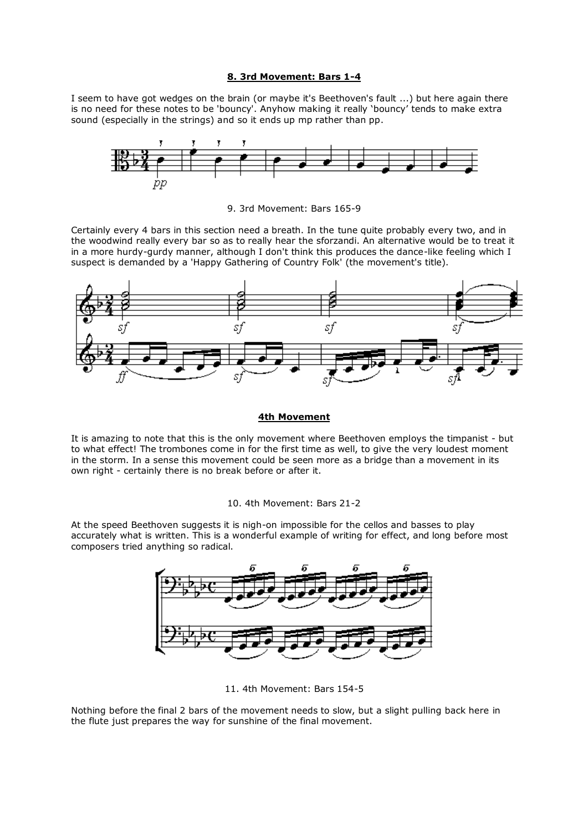# **8. 3rd Movement: Bars 1-4**

I seem to have got wedges on the brain (or maybe it's Beethoven's fault ...) but here again there is no need for these notes to be 'bouncy'. Anyhow making it really 'bouncy' tends to make extra sound (especially in the strings) and so it ends up mp rather than pp.



9. 3rd Movement: Bars 165-9

Certainly every 4 bars in this section need a breath. In the tune quite probably every two, and in the woodwind really every bar so as to really hear the sforzandi. An alternative would be to treat it in a more hurdy-gurdy manner, although I don't think this produces the dance-like feeling which I suspect is demanded by a 'Happy Gathering of Country Folk' (the movement's title).



### **4th Movement**

It is amazing to note that this is the only movement where Beethoven employs the timpanist - but to what effect! The trombones come in for the first time as well, to give the very loudest moment in the storm. In a sense this movement could be seen more as a bridge than a movement in its own right - certainly there is no break before or after it.

# 10. 4th Movement: Bars 21-2

At the speed Beethoven suggests it is nigh-on impossible for the cellos and basses to play accurately what is written. This is a wonderful example of writing for effect, and long before most composers tried anything so radical.



11. 4th Movement: Bars 154-5

Nothing before the final 2 bars of the movement needs to slow, but a slight pulling back here in the flute just prepares the way for sunshine of the final movement.